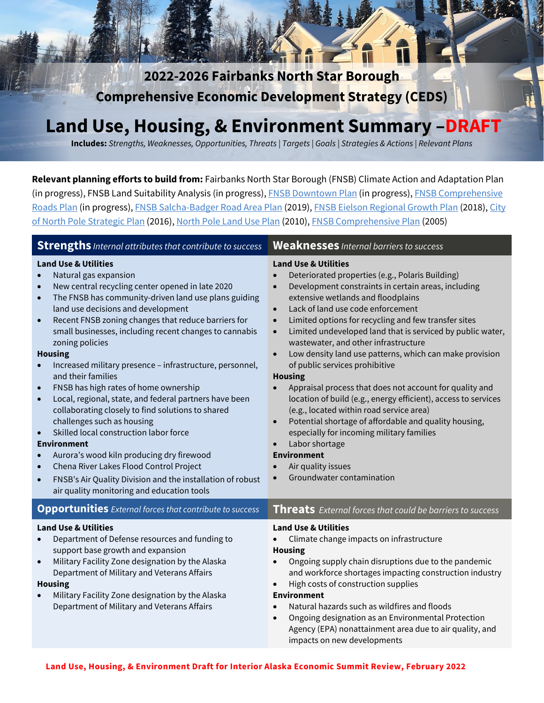**2022-2026 Fairbanks North Star Borough Comprehensive Economic Development Strategy (CEDS)** 

# **Land Use, Housing, & Environment Summary –DRAFT**

**Includes:** *Strengths, Weaknesses, Opportunities, Threats | Targets | Goals | Strategies & Actions | Relevant Plans*

**Relevant planning efforts to build from:** Fairbanks North Star Borough (FNSB) Climate Action and Adaptation Plan (in progress), FNSB Land Suitability Analysis (in progress), [FNSB Downtown Plan](https://downtownfbx2040.com/) (in progress), FNSB Comprehensive [Roads Plan](https://fnsbroadsplan.com/) (in progress), [FNSB Salcha-Badger Road Area Plan](http://salchabadgerplan.com/) (2019)[, FNSB Eielson Regional Growth Plan](http://www.eafbregionalgrowth.com/) (2018)[, City](https://www.northpolealaska.com/sites/default/files/fileattachments/community/page/7095/city_of_north_pole_strategic_plan.pdf)  [of North Pole Strategic Plan](https://www.northpolealaska.com/sites/default/files/fileattachments/community/page/7095/city_of_north_pole_strategic_plan.pdf) (2016)[, North Pole Land Use Plan](https://www.fnsb.gov/DocumentCenter/View/905/North-Pole-Land-Use-Plan-PDF) (2010), [FNSB Comprehensive Plan](https://www.co.fairbanks.ak.us/DocumentCenter/View/900/Regional-Comprehensive-Plan-PDF#:%7E:text=The%20Fairbanks%20North%20Star%20(FNSB,evolving%20changes%20natural%20to%20man.) (2005)

| <b>Strengths</b> <i>Internal attributes that contribute to success</i>                                                                                                                                                                                                                                                                                                                                                                                                                                                                                                                                                                                                                                                                                                                                                                                                                                                                                                                                                                         | <b>Weaknesses</b> Internal barriers to success                                                                                                                                                                                                                                                                                                                                                                                                                                                                                                                                                                                                                                                                                                                                                                                                                                                                                                                                       |
|------------------------------------------------------------------------------------------------------------------------------------------------------------------------------------------------------------------------------------------------------------------------------------------------------------------------------------------------------------------------------------------------------------------------------------------------------------------------------------------------------------------------------------------------------------------------------------------------------------------------------------------------------------------------------------------------------------------------------------------------------------------------------------------------------------------------------------------------------------------------------------------------------------------------------------------------------------------------------------------------------------------------------------------------|--------------------------------------------------------------------------------------------------------------------------------------------------------------------------------------------------------------------------------------------------------------------------------------------------------------------------------------------------------------------------------------------------------------------------------------------------------------------------------------------------------------------------------------------------------------------------------------------------------------------------------------------------------------------------------------------------------------------------------------------------------------------------------------------------------------------------------------------------------------------------------------------------------------------------------------------------------------------------------------|
| <b>Land Use &amp; Utilities</b><br>Natural gas expansion<br>$\bullet$<br>New central recycling center opened in late 2020<br>$\bullet$<br>The FNSB has community-driven land use plans guiding<br>$\bullet$<br>land use decisions and development<br>Recent FNSB zoning changes that reduce barriers for<br>$\bullet$<br>small businesses, including recent changes to cannabis<br>zoning policies<br><b>Housing</b><br>Increased military presence - infrastructure, personnel,<br>and their families<br>FNSB has high rates of home ownership<br>$\bullet$<br>Local, regional, state, and federal partners have been<br>$\bullet$<br>collaborating closely to find solutions to shared<br>challenges such as housing<br>Skilled local construction labor force<br>$\bullet$<br><b>Environment</b><br>Aurora's wood kiln producing dry firewood<br>$\bullet$<br>Chena River Lakes Flood Control Project<br>$\bullet$<br>FNSB's Air Quality Division and the installation of robust<br>$\bullet$<br>air quality monitoring and education tools | <b>Land Use &amp; Utilities</b><br>Deteriorated properties (e.g., Polaris Building)<br>Development constraints in certain areas, including<br>$\bullet$<br>extensive wetlands and floodplains<br>Lack of land use code enforcement<br>$\bullet$<br>Limited options for recycling and few transfer sites<br>$\bullet$<br>Limited undeveloped land that is serviced by public water,<br>$\bullet$<br>wastewater, and other infrastructure<br>Low density land use patterns, which can make provision<br>$\bullet$<br>of public services prohibitive<br><b>Housing</b><br>Appraisal process that does not account for quality and<br>location of build (e.g., energy efficient), access to services<br>(e.g., located within road service area)<br>Potential shortage of affordable and quality housing,<br>$\bullet$<br>especially for incoming military families<br>Labor shortage<br>$\bullet$<br><b>Environment</b><br>Air quality issues<br>Groundwater contamination<br>$\bullet$ |
| <b>Opportunities</b> External forces that contribute to success                                                                                                                                                                                                                                                                                                                                                                                                                                                                                                                                                                                                                                                                                                                                                                                                                                                                                                                                                                                | Threats External forces that could be barriers to success                                                                                                                                                                                                                                                                                                                                                                                                                                                                                                                                                                                                                                                                                                                                                                                                                                                                                                                            |
| <b>Land Use &amp; Utilities</b><br>Department of Defense resources and funding to<br>$\bullet$<br>support base growth and expansion<br>Military Facility Zone designation by the Alaska<br>$\bullet$<br>Department of Military and Veterans Affairs<br><b>Housing</b><br>Military Facility Zone designation by the Alaska<br>$\bullet$<br>Department of Military and Veterans Affairs                                                                                                                                                                                                                                                                                                                                                                                                                                                                                                                                                                                                                                                          | <b>Land Use &amp; Utilities</b><br>Climate change impacts on infrastructure<br><b>Housing</b><br>Ongoing supply chain disruptions due to the pandemic<br>$\bullet$<br>and workforce shortages impacting construction industry<br>High costs of construction supplies<br>$\bullet$<br><b>Environment</b><br>Natural hazards such as wildfires and floods<br>$\bullet$<br>Ongoing designation as an Environmental Protection<br>$\bullet$<br>Agency (EPA) nonattainment area due to air quality, and                                                                                                                                                                                                                                                                                                                                                                                                                                                                                   |

impacts on new developments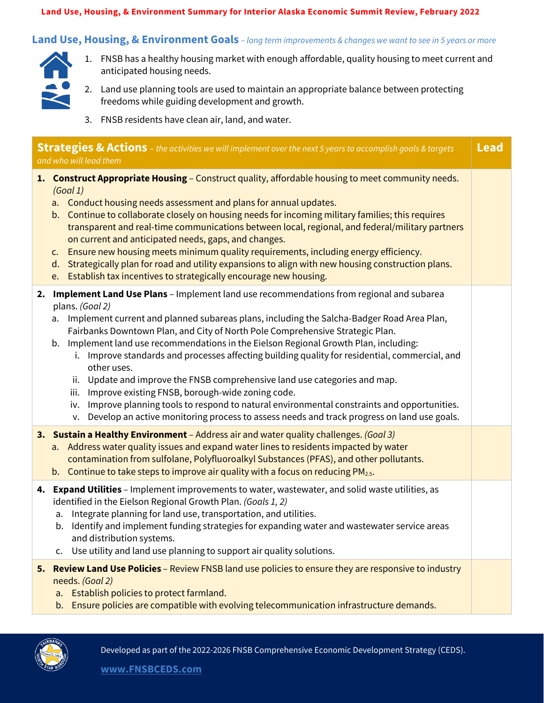#### **Land Use, Housing, & Environment Summary for Interior Alaska Economic Summit Review, February 2022**

### **Land Use, Housing, & Environment Goals** *– long term improvements & changes we want to see in 5 years or more*



- 1. FNSB has a healthy housing market with enough affordable, quality housing to meet current and anticipated housing needs.
- 2. Land use planning tools are used to maintain an appropriate balance between protecting freedoms while guiding development and growth.
- 3. FNSB residents have clean air, land, and water.

| <b>Strategies &amp; Actions</b> - the activities we will implement over the next 5 years to accomplish goals & targets<br>and who will lead them |                                                                                                                                                                                                                                                                                                                                                                                                                                                                                                                                                                                                                                                                                                                                                                                                                                                               |  |  |  |
|--------------------------------------------------------------------------------------------------------------------------------------------------|---------------------------------------------------------------------------------------------------------------------------------------------------------------------------------------------------------------------------------------------------------------------------------------------------------------------------------------------------------------------------------------------------------------------------------------------------------------------------------------------------------------------------------------------------------------------------------------------------------------------------------------------------------------------------------------------------------------------------------------------------------------------------------------------------------------------------------------------------------------|--|--|--|
|                                                                                                                                                  | 1. Construct Appropriate Housing - Construct quality, affordable housing to meet community needs.<br>(Goal1)<br>a. Conduct housing needs assessment and plans for annual updates.<br>b. Continue to collaborate closely on housing needs for incoming military families; this requires<br>transparent and real-time communications between local, regional, and federal/military partners<br>on current and anticipated needs, gaps, and changes.<br>Ensure new housing meets minimum quality requirements, including energy efficiency.<br>$\mathsf{C}$ .<br>d. Strategically plan for road and utility expansions to align with new housing construction plans.<br>e. Establish tax incentives to strategically encourage new housing.                                                                                                                      |  |  |  |
|                                                                                                                                                  | 2. Implement Land Use Plans - Implement land use recommendations from regional and subarea<br>plans. (Goal 2)<br>Implement current and planned subareas plans, including the Salcha-Badger Road Area Plan,<br>a.<br>Fairbanks Downtown Plan, and City of North Pole Comprehensive Strategic Plan.<br>b. Implement land use recommendations in the Eielson Regional Growth Plan, including:<br>Improve standards and processes affecting building quality for residential, commercial, and<br>other uses.<br>Update and improve the FNSB comprehensive land use categories and map.<br>ii.<br>Improve existing FNSB, borough-wide zoning code.<br>iii.<br>Improve planning tools to respond to natural environmental constraints and opportunities.<br>iv.<br>Develop an active monitoring process to assess needs and track progress on land use goals.<br>v. |  |  |  |
|                                                                                                                                                  | 3. Sustain a Healthy Environment - Address air and water quality challenges. (Goal 3)<br>a. Address water quality issues and expand water lines to residents impacted by water<br>contamination from sulfolane, Polyfluoroalkyl Substances (PFAS), and other pollutants.<br>b. Continue to take steps to improve air quality with a focus on reducing $PM_{2.5}$ .                                                                                                                                                                                                                                                                                                                                                                                                                                                                                            |  |  |  |
|                                                                                                                                                  | 4. Expand Utilities - Implement improvements to water, wastewater, and solid waste utilities, as<br>identified in the Eielson Regional Growth Plan. (Goals 1, 2)<br>Integrate planning for land use, transportation, and utilities.<br>a.<br>Identify and implement funding strategies for expanding water and wastewater service areas<br>b.<br>and distribution systems.<br>Use utility and land use planning to support air quality solutions.<br>c.                                                                                                                                                                                                                                                                                                                                                                                                       |  |  |  |
| 5.                                                                                                                                               | Review Land Use Policies - Review FNSB land use policies to ensure they are responsive to industry<br>needs. (Goal 2)<br>Establish policies to protect farmland.<br>a.<br>Ensure policies are compatible with evolving telecommunication infrastructure demands.<br>b.                                                                                                                                                                                                                                                                                                                                                                                                                                                                                                                                                                                        |  |  |  |



Developed as part of the 2022-2026 FNSB Comprehensive Economic Development Strategy (CEDS).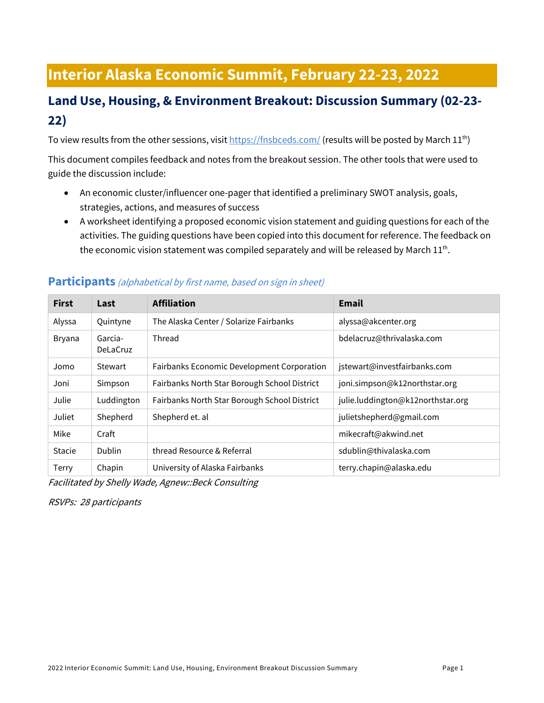## **Interior Alaska Economic Summit, February 22-23, 2022**

## **Land Use, Housing, & Environment Breakout: Discussion Summary (02-23- 22)**

To view results from the other sessions, visi[t https://fnsbceds.com/](https://fnsbceds.com/) (results will be posted by March 11<sup>th</sup>)

This document compiles feedback and notes from the breakout session. The other tools that were used to guide the discussion include:

- An economic cluster/influencer one-pager that identified a preliminary SWOT analysis, goals, strategies, actions, and measures of success
- A worksheet identifying a proposed economic vision statement and guiding questions for each of the activities. The guiding questions have been copied into this document for reference. The feedback on the economic vision statement was compiled separately and will be released by March  $11<sup>th</sup>$ .

| <b>First</b>  | Last                       | <b>Affiliation</b>                           | <b>Email</b>                      |
|---------------|----------------------------|----------------------------------------------|-----------------------------------|
| Alyssa        | Quintyne                   | The Alaska Center / Solarize Fairbanks       | alyssa@akcenter.org               |
| <b>Bryana</b> | Garcia-<br><b>DeLaCruz</b> | Thread                                       | bdelacruz@thrivalaska.com         |
| Jomo          | <b>Stewart</b>             | Fairbanks Economic Development Corporation   | jstewart@investfairbanks.com      |
| Joni          | Simpson                    | Fairbanks North Star Borough School District | joni.simpson@k12northstar.org     |
| Julie         | Luddington                 | Fairbanks North Star Borough School District | julie.luddington@k12northstar.org |
| Juliet        | Shepherd                   | Shepherd et. al                              | julietshepherd@gmail.com          |
| Mike          | Craft                      |                                              | mikecraft@akwind.net              |
| <b>Stacie</b> | Dublin                     | thread Resource & Referral                   | sdublin@thivalaska.com            |
| Terry         | Chapin                     | University of Alaska Fairbanks               | terry.chapin@alaska.edu           |

#### **Participants** (alphabetical by first name, based on sign in sheet)

Facilitated by Shelly Wade, Agnew::Beck Consulting

RSVPs: 28 participants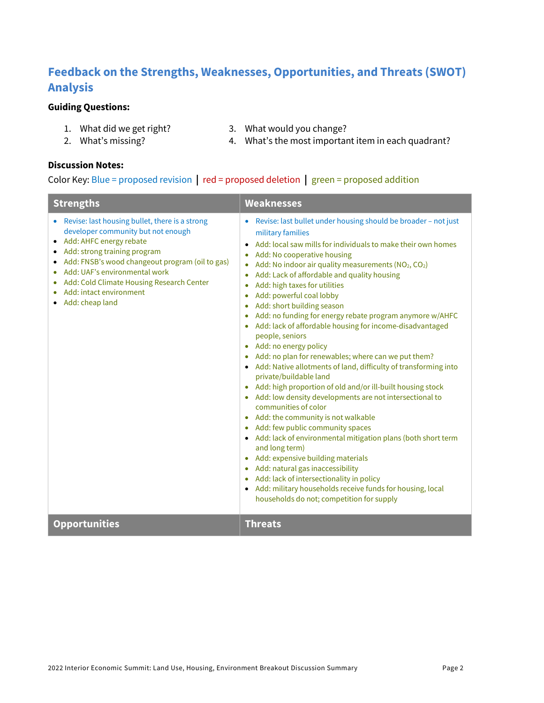## **Feedback on the Strengths, Weaknesses, Opportunities, and Threats (SWOT) Analysis**

#### **Guiding Questions:**

- 1. What did we get right? 3. What would you change?
	-
- 2. What's missing?
- 4. What's the most important item in each quadrant?

#### **Discussion Notes:**

#### Color Key: Blue = proposed revision **|** red = proposed deletion **|** green = proposed addition

| <b>Strengths</b>                                                                                                                                                                                                                                                                                                                 | <b>Weaknesses</b>                                                                                                                                                                                                                                                                                                                                                                                                                                                                                                                                                                                                                                                                                                                                                                                                                                                                                                                                                                                                                                                                                                                                                                                                                                                                                                                         |  |
|----------------------------------------------------------------------------------------------------------------------------------------------------------------------------------------------------------------------------------------------------------------------------------------------------------------------------------|-------------------------------------------------------------------------------------------------------------------------------------------------------------------------------------------------------------------------------------------------------------------------------------------------------------------------------------------------------------------------------------------------------------------------------------------------------------------------------------------------------------------------------------------------------------------------------------------------------------------------------------------------------------------------------------------------------------------------------------------------------------------------------------------------------------------------------------------------------------------------------------------------------------------------------------------------------------------------------------------------------------------------------------------------------------------------------------------------------------------------------------------------------------------------------------------------------------------------------------------------------------------------------------------------------------------------------------------|--|
| • Revise: last housing bullet, there is a strong<br>developer community but not enough<br>Add: AHFC energy rebate<br>Add: strong training program<br>Add: FNSB's wood changeout program (oil to gas)<br>Add: UAF's environmental work<br>Add: Cold Climate Housing Research Center<br>Add: intact environment<br>Add: cheap land | Revise: last bullet under housing should be broader - not just<br>$\bullet$<br>military families<br>Add: local saw mills for individuals to make their own homes<br>Add: No cooperative housing<br>Add: No indoor air quality measurements (NO <sub>2</sub> , CO <sub>2</sub> )<br>Add: Lack of affordable and quality housing<br>$\bullet$<br>Add: high taxes for utilities<br>Add: powerful coal lobby<br>Add: short building season<br>Add: no funding for energy rebate program anymore w/AHFC<br>۰<br>Add: lack of affordable housing for income-disadvantaged<br>people, seniors<br>Add: no energy policy<br>Add: no plan for renewables; where can we put them?<br>• Add: Native allotments of land, difficulty of transforming into<br>private/buildable land<br>Add: high proportion of old and/or ill-built housing stock<br>Add: low density developments are not intersectional to<br>communities of color<br>• Add: the community is not walkable<br>Add: few public community spaces<br>• Add: lack of environmental mitigation plans (both short term<br>and long term)<br>Add: expensive building materials<br>Add: natural gas inaccessibility<br>$\bullet$<br>Add: lack of intersectionality in policy<br>۰<br>• Add: military households receive funds for housing, local<br>households do not; competition for supply |  |
| <b>Opportunities</b>                                                                                                                                                                                                                                                                                                             | <b>Threats</b>                                                                                                                                                                                                                                                                                                                                                                                                                                                                                                                                                                                                                                                                                                                                                                                                                                                                                                                                                                                                                                                                                                                                                                                                                                                                                                                            |  |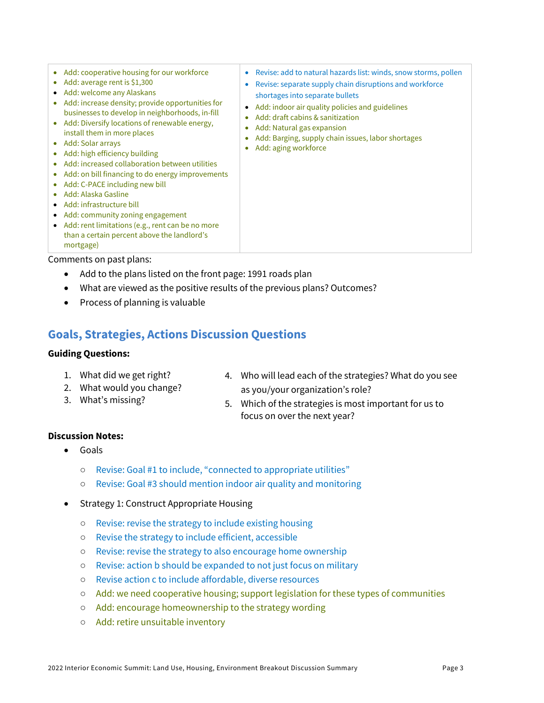| Add: cooperative housing for our workforce<br>$\bullet$<br>Add: average rent is \$1,300<br>$\bullet$<br>Add: welcome any Alaskans<br>$\bullet$<br>Add: increase density; provide opportunities for<br>businesses to develop in neighborhoods, in-fill<br>Add: Diversify locations of renewable energy,<br>$\bullet$<br>install them in more places<br>Add: Solar arrays<br>$\bullet$<br>Add: high efficiency building<br>$\bullet$<br>Add: increased collaboration between utilities<br>Add: on bill financing to do energy improvements<br>$\bullet$<br>Add: C-PACE including new bill<br>$\bullet$<br>Add: Alaska Gasline<br>$\bullet$<br>Add: infrastructure bill<br>$\bullet$<br>Add: community zoning engagement<br>$\bullet$<br>Add: rent limitations (e.g., rent can be no more<br>$\bullet$<br>than a certain percent above the landlord's<br>mortgage) | Revise: add to natural hazards list: winds, snow storms, pollen<br>$\bullet$<br>Revise: separate supply chain disruptions and workforce<br>$\bullet$<br>shortages into separate bullets<br>Add: indoor air quality policies and guidelines<br>$\bullet$<br>Add: draft cabins & sanitization<br>ó<br>Add: Natural gas expansion<br>۰<br>Add: Barging, supply chain issues, labor shortages<br>۰<br>Add: aging workforce<br>$\bullet$ |
|-----------------------------------------------------------------------------------------------------------------------------------------------------------------------------------------------------------------------------------------------------------------------------------------------------------------------------------------------------------------------------------------------------------------------------------------------------------------------------------------------------------------------------------------------------------------------------------------------------------------------------------------------------------------------------------------------------------------------------------------------------------------------------------------------------------------------------------------------------------------|-------------------------------------------------------------------------------------------------------------------------------------------------------------------------------------------------------------------------------------------------------------------------------------------------------------------------------------------------------------------------------------------------------------------------------------|
|-----------------------------------------------------------------------------------------------------------------------------------------------------------------------------------------------------------------------------------------------------------------------------------------------------------------------------------------------------------------------------------------------------------------------------------------------------------------------------------------------------------------------------------------------------------------------------------------------------------------------------------------------------------------------------------------------------------------------------------------------------------------------------------------------------------------------------------------------------------------|-------------------------------------------------------------------------------------------------------------------------------------------------------------------------------------------------------------------------------------------------------------------------------------------------------------------------------------------------------------------------------------------------------------------------------------|

Comments on past plans:

- Add to the plans listed on the front page: 1991 roads plan
- What are viewed as the positive results of the previous plans? Outcomes?
- Process of planning is valuable

#### **Goals, Strategies, Actions Discussion Questions**

#### **Guiding Questions:**

- 1. What did we get right?
- 2. What would you change?
- 3. What's missing?
- 4. Who will lead each of the strategies? What do you see as you/your organization's role?
- 5. Which of the strategies is most important for us to focus on over the next year?

#### **Discussion Notes:**

- Goals
	- Revise: Goal #1 to include, "connected to appropriate utilities"
	- Revise: Goal #3 should mention indoor air quality and monitoring
- Strategy 1: Construct Appropriate Housing
	- Revise: revise the strategy to include existing housing
	- Revise the strategy to include efficient, accessible
	- Revise: revise the strategy to also encourage home ownership
	- Revise: action b should be expanded to not just focus on military
	- Revise action c to include affordable, diverse resources
	- Add: we need cooperative housing; support legislation for these types of communities
	- Add: encourage homeownership to the strategy wording
	- Add: retire unsuitable inventory